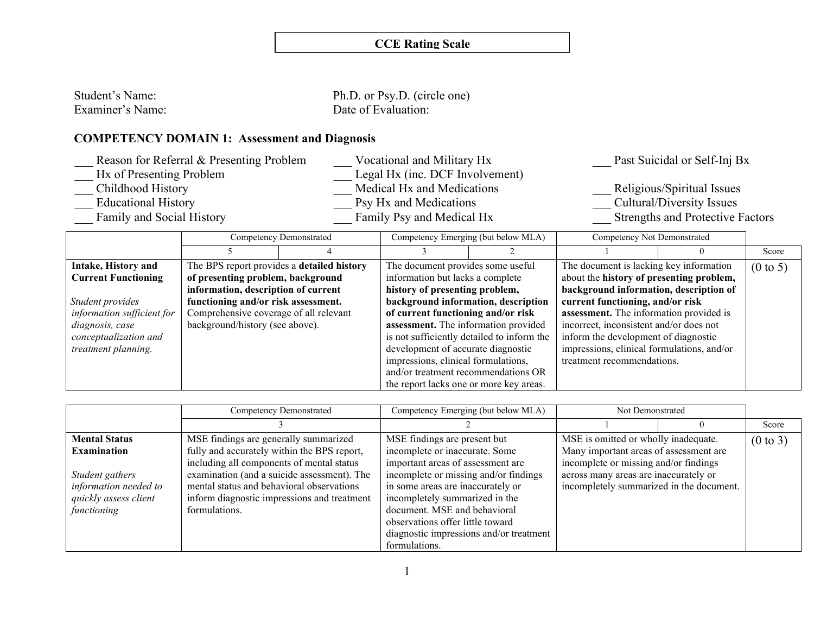| Student's Name:  | Ph.D. or Psy.D. (circle one) |
|------------------|------------------------------|
| Examiner's Name: | Date of Evaluation:          |

# **COMPETENCY DOMAIN 1: Assessment and Diagnosis**

| Reason for Referral & Presenting Problem | Vocational and Military Hx      | Past Suicidal or Self-Inj Bx            |
|------------------------------------------|---------------------------------|-----------------------------------------|
| Hx of Presenting Problem                 | Legal Hx (inc. DCF Involvement) |                                         |
| Childhood History                        | Medical Hx and Medications      | Religious/Spiritual Issues              |
| <b>Educational History</b>               | Psy Hx and Medications          | Cultural/Diversity Issues               |
| Family and Social History                | Family Psy and Medical Hx       | <b>Strengths and Protective Factors</b> |

|                            |                                            | Competency Demonstrated |                                         | Competency Emerging (but below MLA)        | Competency Not Demonstrated                |  |                     |
|----------------------------|--------------------------------------------|-------------------------|-----------------------------------------|--------------------------------------------|--------------------------------------------|--|---------------------|
|                            |                                            |                         |                                         |                                            |                                            |  | Score               |
| Intake, History and        | The BPS report provides a detailed history |                         | The document provides some useful       |                                            | The document is lacking key information    |  | $(0 \text{ to } 5)$ |
| <b>Current Functioning</b> | of presenting problem, background          |                         | information but lacks a complete        |                                            | about the history of presenting problem,   |  |                     |
|                            | information, description of current        |                         | history of presenting problem,          |                                            | background information, description of     |  |                     |
| Student provides           | functioning and/or risk assessment.        |                         | background information, description     |                                            | current functioning, and/or risk           |  |                     |
| information sufficient for | Comprehensive coverage of all relevant     |                         | of current functioning and/or risk      |                                            | assessment. The information provided is    |  |                     |
| diagnosis, case            | background/history (see above).            |                         | assessment. The information provided    |                                            | incorrect, inconsistent and/or does not    |  |                     |
| conceptualization and      |                                            |                         |                                         | is not sufficiently detailed to inform the | inform the development of diagnostic       |  |                     |
| treatment planning.        |                                            |                         | development of accurate diagnostic      |                                            | impressions, clinical formulations, and/or |  |                     |
|                            |                                            |                         | impressions, clinical formulations,     |                                            | treatment recommendations.                 |  |                     |
|                            |                                            |                         | and/or treatment recommendations OR     |                                            |                                            |  |                     |
|                            |                                            |                         | the report lacks one or more key areas. |                                            |                                            |  |                     |

|                                                                                  | Competency Demonstrated                                                                                                                                                                               | Competency Emerging (but below MLA)                                                                                                                                                                                                                                               | Not Demonstrated                                                                                                           |                     |
|----------------------------------------------------------------------------------|-------------------------------------------------------------------------------------------------------------------------------------------------------------------------------------------------------|-----------------------------------------------------------------------------------------------------------------------------------------------------------------------------------------------------------------------------------------------------------------------------------|----------------------------------------------------------------------------------------------------------------------------|---------------------|
|                                                                                  |                                                                                                                                                                                                       |                                                                                                                                                                                                                                                                                   |                                                                                                                            | Score               |
| <b>Mental Status</b><br><b>Examination</b>                                       | MSE findings are generally summarized<br>fully and accurately within the BPS report,                                                                                                                  | MSE findings are present but<br>incomplete or inaccurate. Some                                                                                                                                                                                                                    | MSE is omitted or wholly inadequate.<br>Many important areas of assessment are                                             | $(0 \text{ to } 3)$ |
| Student gathers<br>information needed to<br>quickly assess client<br>functioning | including all components of mental status<br>examination (and a suicide assessment). The<br>mental status and behavioral observations<br>inform diagnostic impressions and treatment<br>formulations. | important areas of assessment are<br>incomplete or missing and/or findings<br>in some areas are inaccurately or<br>incompletely summarized in the<br>document. MSE and behavioral<br>observations offer little toward<br>diagnostic impressions and/or treatment<br>formulations. | incomplete or missing and/or findings<br>across many areas are inaccurately or<br>incompletely summarized in the document. |                     |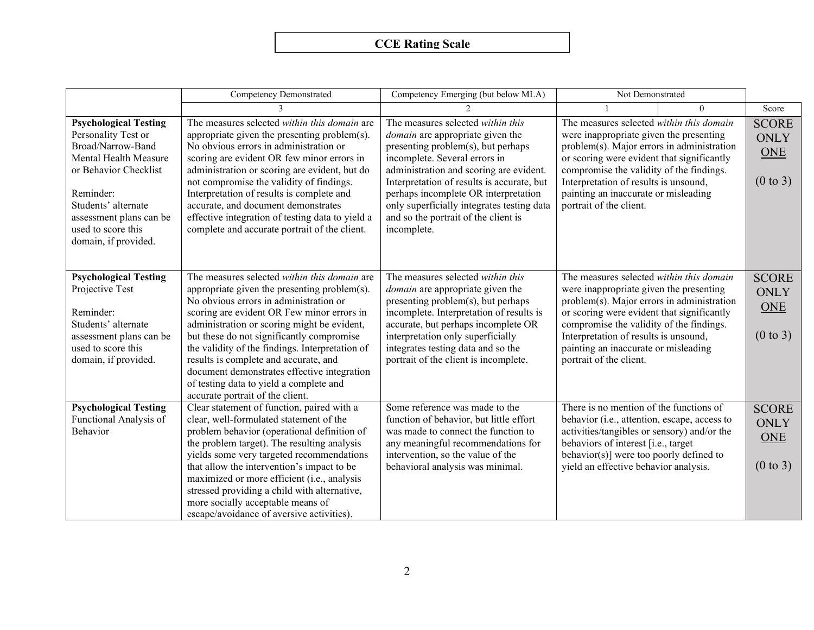|                                                                                                                                                                                                                                         | <b>Competency Demonstrated</b>                                                                                                                                                                                                                                                                                                                                                                                                                                                                             | Competency Emerging (but below MLA)                                                                                                                                                                                                                                                                                                                                                       | Not Demonstrated                                                                                                                                                                                                                                                                                                                        |          |                                                           |
|-----------------------------------------------------------------------------------------------------------------------------------------------------------------------------------------------------------------------------------------|------------------------------------------------------------------------------------------------------------------------------------------------------------------------------------------------------------------------------------------------------------------------------------------------------------------------------------------------------------------------------------------------------------------------------------------------------------------------------------------------------------|-------------------------------------------------------------------------------------------------------------------------------------------------------------------------------------------------------------------------------------------------------------------------------------------------------------------------------------------------------------------------------------------|-----------------------------------------------------------------------------------------------------------------------------------------------------------------------------------------------------------------------------------------------------------------------------------------------------------------------------------------|----------|-----------------------------------------------------------|
|                                                                                                                                                                                                                                         |                                                                                                                                                                                                                                                                                                                                                                                                                                                                                                            |                                                                                                                                                                                                                                                                                                                                                                                           |                                                                                                                                                                                                                                                                                                                                         | $\Omega$ | Score                                                     |
| <b>Psychological Testing</b><br>Personality Test or<br>Broad/Narrow-Band<br>Mental Health Measure<br>or Behavior Checklist<br>Reminder:<br>Students' alternate<br>assessment plans can be<br>used to score this<br>domain, if provided. | The measures selected within this domain are<br>appropriate given the presenting problem(s).<br>No obvious errors in administration or<br>scoring are evident OR few minor errors in<br>administration or scoring are evident, but do<br>not compromise the validity of findings.<br>Interpretation of results is complete and<br>accurate, and document demonstrates<br>effective integration of testing data to yield a<br>complete and accurate portrait of the client.                                 | The measures selected within this<br><i>domain</i> are appropriate given the<br>presenting problem(s), but perhaps<br>incomplete. Several errors in<br>administration and scoring are evident.<br>Interpretation of results is accurate, but<br>perhaps incomplete OR interpretation<br>only superficially integrates testing data<br>and so the portrait of the client is<br>incomplete. | The measures selected within this domain<br>were inappropriate given the presenting<br>problem(s). Major errors in administration<br>or scoring were evident that significantly<br>compromise the validity of the findings.<br>Interpretation of results is unsound,<br>painting an inaccurate or misleading<br>portrait of the client. |          | <b>SCORE</b><br>ONLY<br><b>ONE</b><br>$(0 \text{ to } 3)$ |
| <b>Psychological Testing</b><br>Projective Test<br>Reminder:<br>Students' alternate<br>assessment plans can be<br>used to score this<br>domain, if provided.                                                                            | The measures selected within this domain are<br>appropriate given the presenting problem(s).<br>No obvious errors in administration or<br>scoring are evident OR Few minor errors in<br>administration or scoring might be evident,<br>but these do not significantly compromise<br>the validity of the findings. Interpretation of<br>results is complete and accurate, and<br>document demonstrates effective integration<br>of testing data to yield a complete and<br>accurate portrait of the client. | The measures selected within this<br><i>domain</i> are appropriate given the<br>presenting problem(s), but perhaps<br>incomplete. Interpretation of results is<br>accurate, but perhaps incomplete OR<br>interpretation only superficially<br>integrates testing data and so the<br>portrait of the client is incomplete.                                                                 | The measures selected within this domain<br>were inappropriate given the presenting<br>problem(s). Major errors in administration<br>or scoring were evident that significantly<br>compromise the validity of the findings.<br>Interpretation of results is unsound,<br>painting an inaccurate or misleading<br>portrait of the client. |          | <b>SCORE</b><br>ONLY<br><b>ONE</b><br>$(0 \text{ to } 3)$ |
| <b>Psychological Testing</b><br>Functional Analysis of<br>Behavior                                                                                                                                                                      | Clear statement of function, paired with a<br>clear, well-formulated statement of the<br>problem behavior (operational definition of<br>the problem target). The resulting analysis<br>yields some very targeted recommendations<br>that allow the intervention's impact to be<br>maximized or more efficient (i.e., analysis<br>stressed providing a child with alternative,<br>more socially acceptable means of<br>escape/avoidance of aversive activities).                                            | Some reference was made to the<br>function of behavior, but little effort<br>was made to connect the function to<br>any meaningful recommendations for<br>intervention, so the value of the<br>behavioral analysis was minimal.                                                                                                                                                           | There is no mention of the functions of<br>behavior (i.e., attention, escape, access to<br>activities/tangibles or sensory) and/or the<br>behaviors of interest [i.e., target<br>behavior(s)] were too poorly defined to<br>yield an effective behavior analysis.                                                                       |          | <b>SCORE</b><br>ONLY<br><b>ONE</b><br>$(0 \text{ to } 3)$ |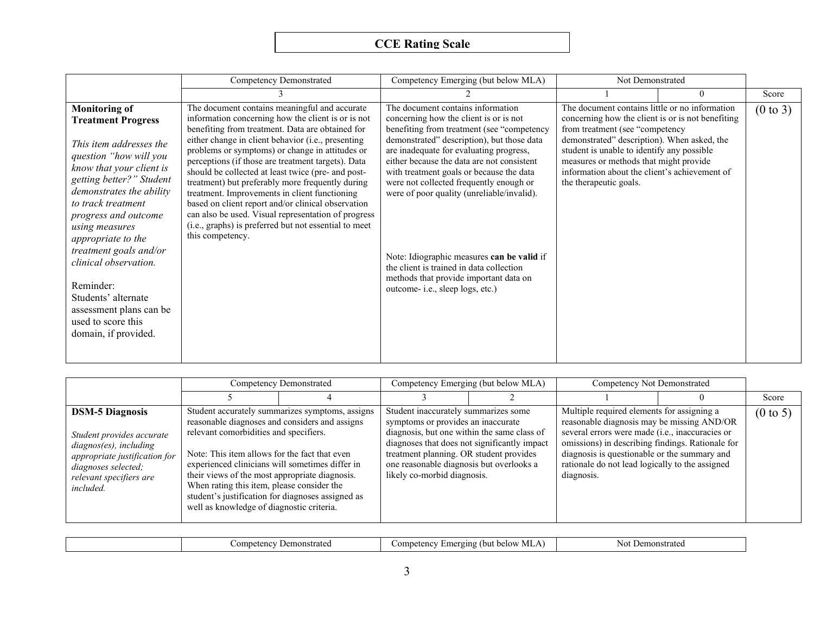|                                                                                                                                                                                                                                                                                                                                                                                                                                                  | <b>Competency Demonstrated</b>                                                                                                                                                                                                                                                                                                                                                                                                                                                                                                                                                                                                                                              | Competency Emerging (but below MLA)                                                                                                                                                                                                                                                                                                                                                                                                                                                                                                                                          | Not Demonstrated                                                                                                                                                                                                                                                                                                                                         |          |                     |
|--------------------------------------------------------------------------------------------------------------------------------------------------------------------------------------------------------------------------------------------------------------------------------------------------------------------------------------------------------------------------------------------------------------------------------------------------|-----------------------------------------------------------------------------------------------------------------------------------------------------------------------------------------------------------------------------------------------------------------------------------------------------------------------------------------------------------------------------------------------------------------------------------------------------------------------------------------------------------------------------------------------------------------------------------------------------------------------------------------------------------------------------|------------------------------------------------------------------------------------------------------------------------------------------------------------------------------------------------------------------------------------------------------------------------------------------------------------------------------------------------------------------------------------------------------------------------------------------------------------------------------------------------------------------------------------------------------------------------------|----------------------------------------------------------------------------------------------------------------------------------------------------------------------------------------------------------------------------------------------------------------------------------------------------------------------------------------------------------|----------|---------------------|
|                                                                                                                                                                                                                                                                                                                                                                                                                                                  |                                                                                                                                                                                                                                                                                                                                                                                                                                                                                                                                                                                                                                                                             |                                                                                                                                                                                                                                                                                                                                                                                                                                                                                                                                                                              |                                                                                                                                                                                                                                                                                                                                                          | $\theta$ | Score               |
| <b>Monitoring of</b><br><b>Treatment Progress</b><br>This item addresses the<br>question "how will you<br>know that your client is<br>getting better?" Student<br>demonstrates the ability<br>to track treatment<br>progress and outcome<br>using measures<br>appropriate to the<br>treatment goals and/or<br>clinical observation.<br>Reminder:<br>Students' alternate<br>assessment plans can be<br>used to score this<br>domain, if provided. | The document contains meaningful and accurate<br>information concerning how the client is or is not<br>benefiting from treatment. Data are obtained for<br>either change in client behavior (i.e., presenting<br>problems or symptoms) or change in attitudes or<br>perceptions (if those are treatment targets). Data<br>should be collected at least twice (pre- and post-<br>treatment) but preferably more frequently during<br>treatment. Improvements in client functioning<br>based on client report and/or clinical observation<br>can also be used. Visual representation of progress<br>(i.e., graphs) is preferred but not essential to meet<br>this competency. | The document contains information<br>concerning how the client is or is not<br>benefiting from treatment (see "competency<br>demonstrated" description), but those data<br>are inadequate for evaluating progress,<br>either because the data are not consistent<br>with treatment goals or because the data<br>were not collected frequently enough or<br>were of poor quality (unreliable/invalid).<br>Note: Idiographic measures can be valid if<br>the client is trained in data collection<br>methods that provide important data on<br>outcome-i.e., sleep logs, etc.) | The document contains little or no information<br>concerning how the client is or is not benefiting<br>from treatment (see "competency<br>demonstrated" description). When asked, the<br>student is unable to identify any possible<br>measures or methods that might provide<br>information about the client's achievement of<br>the therapeutic goals. |          | $(0 \text{ to } 3)$ |

|                                                                                                                                                                               | Competency Demonstrated                                                                                                                                                                                                                                                                                                                                                                        |                                                 |                                                                                                                                                                                                                                                 | Competency Emerging (but below MLA)          |                                                                                                                                                                                                                                                                                                                  | Competency Not Demonstrated |                     |
|-------------------------------------------------------------------------------------------------------------------------------------------------------------------------------|------------------------------------------------------------------------------------------------------------------------------------------------------------------------------------------------------------------------------------------------------------------------------------------------------------------------------------------------------------------------------------------------|-------------------------------------------------|-------------------------------------------------------------------------------------------------------------------------------------------------------------------------------------------------------------------------------------------------|----------------------------------------------|------------------------------------------------------------------------------------------------------------------------------------------------------------------------------------------------------------------------------------------------------------------------------------------------------------------|-----------------------------|---------------------|
|                                                                                                                                                                               |                                                                                                                                                                                                                                                                                                                                                                                                |                                                 |                                                                                                                                                                                                                                                 |                                              |                                                                                                                                                                                                                                                                                                                  |                             | Score               |
| <b>DSM-5 Diagnosis</b><br>Student provides accurate<br>diagnos(es), including<br>appropriate justification for<br>diagnoses selected;<br>relevant specifiers are<br>included. | reasonable diagnoses and considers and assigns<br>relevant comorbidities and specifiers.<br>Note: This item allows for the fact that even<br>experienced clinicians will sometimes differ in<br>their views of the most appropriate diagnosis.<br>When rating this item, please consider the<br>student's justification for diagnoses assigned as<br>well as knowledge of diagnostic criteria. | Student accurately summarizes symptoms, assigns | Student inaccurately summarizes some<br>symptoms or provides an inaccurate<br>diagnosis, but one within the same class of<br>treatment planning. OR student provides<br>one reasonable diagnosis but overlooks a<br>likely co-morbid diagnosis. | diagnoses that does not significantly impact | Multiple required elements for assigning a<br>reasonable diagnosis may be missing AND/OR<br>several errors were made (i.e., inaccuracies or<br>omissions) in describing findings. Rationale for<br>diagnosis is questionable or the summary and<br>rationale do not lead logically to the assigned<br>diagnosis. |                             | $(0 \text{ to } 5)$ |

|  |  | ∠ompetenc∨<br>$100 - 100$<br>strated<br> | --<br>(but<br>Competency<br>: below<br>. ging<br>Emer<br>$"$ IVILT.<br>$\sim$<br>. . | N01<br>onstratec |
|--|--|------------------------------------------|--------------------------------------------------------------------------------------|------------------|
|--|--|------------------------------------------|--------------------------------------------------------------------------------------|------------------|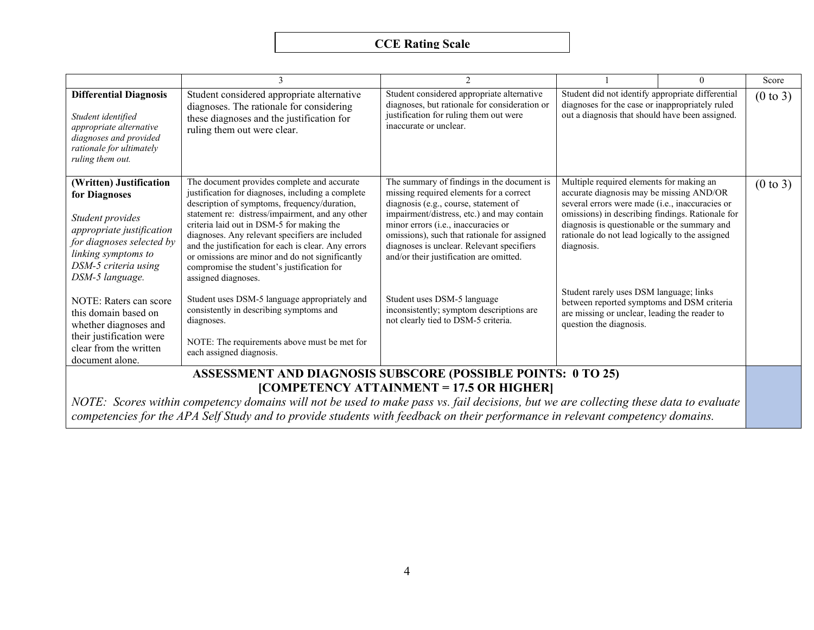|                                                                                                                                                                                          |                                                                                                                                                                                                                                                                                                                                                                                                                                                                                     | $\mathfrak{D}$                                                                                                                                                                                                                                                                                                                                              |                                                                                                                                                                                                                                                                                                              | $\Omega$ | Score               |
|------------------------------------------------------------------------------------------------------------------------------------------------------------------------------------------|-------------------------------------------------------------------------------------------------------------------------------------------------------------------------------------------------------------------------------------------------------------------------------------------------------------------------------------------------------------------------------------------------------------------------------------------------------------------------------------|-------------------------------------------------------------------------------------------------------------------------------------------------------------------------------------------------------------------------------------------------------------------------------------------------------------------------------------------------------------|--------------------------------------------------------------------------------------------------------------------------------------------------------------------------------------------------------------------------------------------------------------------------------------------------------------|----------|---------------------|
| <b>Differential Diagnosis</b><br>Student identified<br>appropriate alternative<br>diagnoses and provided<br>rationale for ultimately<br>ruling them out.                                 | Student considered appropriate alternative<br>diagnoses. The rationale for considering<br>these diagnoses and the justification for<br>ruling them out were clear.                                                                                                                                                                                                                                                                                                                  | Student considered appropriate alternative<br>diagnoses, but rationale for consideration or<br>justification for ruling them out were<br>inaccurate or unclear.                                                                                                                                                                                             | Student did not identify appropriate differential<br>diagnoses for the case or inappropriately ruled<br>out a diagnosis that should have been assigned.                                                                                                                                                      |          | $(0 \text{ to } 3)$ |
| (Written) Justification<br>for Diagnoses<br>Student provides<br>appropriate justification<br>for diagnoses selected by<br>linking symptoms to<br>DSM-5 criteria using<br>DSM-5 language. | The document provides complete and accurate<br>justification for diagnoses, including a complete<br>description of symptoms, frequency/duration,<br>statement re: distress/impairment, and any other<br>criteria laid out in DSM-5 for making the<br>diagnoses. Any relevant specifiers are included<br>and the justification for each is clear. Any errors<br>or omissions are minor and do not significantly<br>compromise the student's justification for<br>assigned diagnoses. | The summary of findings in the document is<br>missing required elements for a correct<br>diagnosis (e.g., course, statement of<br>impairment/distress, etc.) and may contain<br>minor errors (i.e., inaccuracies or<br>omissions), such that rationale for assigned<br>diagnoses is unclear. Relevant specifiers<br>and/or their justification are omitted. | Multiple required elements for making an<br>accurate diagnosis may be missing AND/OR<br>several errors were made (i.e., inaccuracies or<br>omissions) in describing findings. Rationale for<br>diagnosis is questionable or the summary and<br>rationale do not lead logically to the assigned<br>diagnosis. |          | (0 to 3)            |
| NOTE: Raters can score<br>this domain based on<br>whether diagnoses and<br>their justification were<br>clear from the written<br>document alone.                                         | Student uses DSM-5 language appropriately and<br>consistently in describing symptoms and<br>diagnoses.<br>NOTE: The requirements above must be met for<br>each assigned diagnosis.                                                                                                                                                                                                                                                                                                  | Student uses DSM-5 language<br>inconsistently; symptom descriptions are<br>not clearly tied to DSM-5 criteria.                                                                                                                                                                                                                                              | Student rarely uses DSM language; links<br>between reported symptoms and DSM criteria<br>are missing or unclear, leading the reader to<br>question the diagnosis.                                                                                                                                            |          |                     |
|                                                                                                                                                                                          | ASSESSMENT AND DIAGNOSIS SUBSCORE (POSSIBLE POINTS: 0 TO 25)                                                                                                                                                                                                                                                                                                                                                                                                                        |                                                                                                                                                                                                                                                                                                                                                             |                                                                                                                                                                                                                                                                                                              |          |                     |
|                                                                                                                                                                                          | NOTE: Scores within competency domains will not be used to make pass vs. fail decisions, but we are collecting these data to evaluate                                                                                                                                                                                                                                                                                                                                               | [COMPETENCY ATTAINMENT = 17.5 OR HIGHER]                                                                                                                                                                                                                                                                                                                    |                                                                                                                                                                                                                                                                                                              |          |                     |
|                                                                                                                                                                                          |                                                                                                                                                                                                                                                                                                                                                                                                                                                                                     |                                                                                                                                                                                                                                                                                                                                                             |                                                                                                                                                                                                                                                                                                              |          |                     |

*competencies for the APA Self Study and to provide students with feedback on their performance in relevant competency domains.*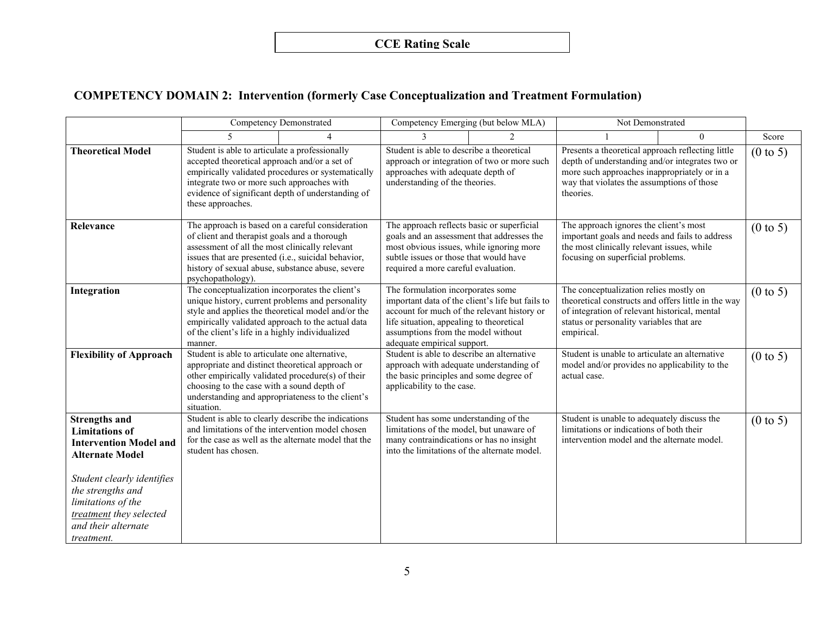## **COMPETENCY DOMAIN 2: Intervention (formerly Case Conceptualization and Treatment Formulation)**

|                                                                                                                                                                                                                                                   |                                                                                                                                                                                                                                                                                                                                | Competency Demonstrated                                                                                 | Competency Emerging (but below MLA)                                                                                                                                                                                                                        |                | Not Demonstrated                                                                                                                                                                                                |          |                     |
|---------------------------------------------------------------------------------------------------------------------------------------------------------------------------------------------------------------------------------------------------|--------------------------------------------------------------------------------------------------------------------------------------------------------------------------------------------------------------------------------------------------------------------------------------------------------------------------------|---------------------------------------------------------------------------------------------------------|------------------------------------------------------------------------------------------------------------------------------------------------------------------------------------------------------------------------------------------------------------|----------------|-----------------------------------------------------------------------------------------------------------------------------------------------------------------------------------------------------------------|----------|---------------------|
|                                                                                                                                                                                                                                                   | $\overline{\mathbf{5}}$                                                                                                                                                                                                                                                                                                        |                                                                                                         |                                                                                                                                                                                                                                                            | $\mathfrak{D}$ |                                                                                                                                                                                                                 | $\theta$ | Score               |
| <b>Theoretical Model</b>                                                                                                                                                                                                                          | Student is able to articulate a professionally<br>accepted theoretical approach and/or a set of<br>integrate two or more such approaches with<br>these approaches.                                                                                                                                                             | empirically validated procedures or systematically<br>evidence of significant depth of understanding of | Student is able to describe a theoretical<br>approach or integration of two or more such<br>approaches with adequate depth of<br>understanding of the theories.                                                                                            |                | Presents a theoretical approach reflecting little<br>depth of understanding and/or integrates two or<br>more such approaches inappropriately or in a<br>way that violates the assumptions of those<br>theories. |          | $(0 \text{ to } 5)$ |
| Relevance                                                                                                                                                                                                                                         | The approach is based on a careful consideration<br>of client and therapist goals and a thorough<br>assessment of all the most clinically relevant<br>issues that are presented (i.e., suicidal behavior,<br>history of sexual abuse, substance abuse, severe<br>psychopathology).                                             |                                                                                                         | The approach reflects basic or superficial<br>goals and an assessment that addresses the<br>most obvious issues, while ignoring more<br>subtle issues or those that would have<br>required a more careful evaluation.<br>The formulation incorporates some |                | The approach ignores the client's most<br>important goals and needs and fails to address<br>the most clinically relevant issues, while<br>focusing on superficial problems.                                     |          | $(0 \text{ to } 5)$ |
| Integration                                                                                                                                                                                                                                       | The conceptualization incorporates the client's<br>unique history, current problems and personality<br>style and applies the theoretical model and/or the<br>empirically validated approach to the actual data<br>of the client's life in a highly individualized<br>manner.<br>Student is able to articulate one alternative, |                                                                                                         | important data of the client's life but fails to<br>account for much of the relevant history or<br>life situation, appealing to theoretical<br>assumptions from the model without<br>adequate empirical support.                                           |                | The conceptualization relies mostly on<br>theoretical constructs and offers little in the way<br>of integration of relevant historical, mental<br>status or personality variables that are<br>empirical.        |          | $(0 \text{ to } 5)$ |
| <b>Flexibility of Approach</b>                                                                                                                                                                                                                    | appropriate and distinct theoretical approach or<br>other empirically validated procedure(s) of their<br>choosing to the case with a sound depth of<br>understanding and appropriateness to the client's<br>situation.                                                                                                         |                                                                                                         | Student is able to describe an alternative<br>approach with adequate understanding of<br>the basic principles and some degree of<br>applicability to the case.                                                                                             |                | Student is unable to articulate an alternative<br>model and/or provides no applicability to the<br>actual case.                                                                                                 |          | $(0 \text{ to } 5)$ |
| <b>Strengths and</b><br><b>Limitations</b> of<br><b>Intervention Model and</b><br><b>Alternate Model</b><br>Student clearly identifies<br>the strengths and<br>limitations of the<br>treatment they selected<br>and their alternate<br>treatment. | Student is able to clearly describe the indications<br>and limitations of the intervention model chosen<br>student has chosen.                                                                                                                                                                                                 | for the case as well as the alternate model that the                                                    | Student has some understanding of the<br>limitations of the model, but unaware of<br>many contraindications or has no insight<br>into the limitations of the alternate model.                                                                              |                | Student is unable to adequately discuss the<br>limitations or indications of both their<br>intervention model and the alternate model.                                                                          |          | $(0 \text{ to } 5)$ |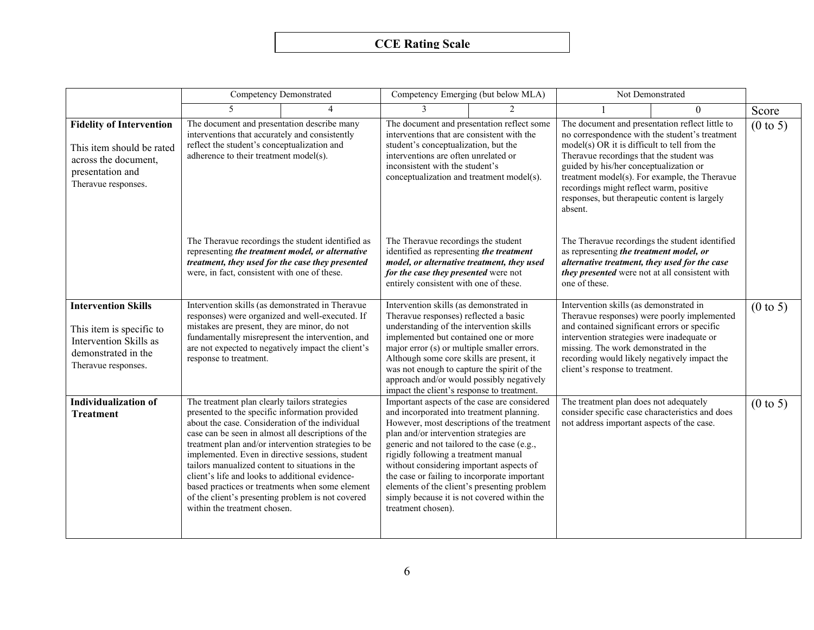|                                                                                                                                 |                                                                                                                                                                                                                                                                                                                                                                                                                                                                                                            | <b>Competency Demonstrated</b>                                                                         |                                                                                                                                                                                                                                                                                                                                                                                                                                                                             | Competency Emerging (but below MLA)                                                                                                        | Not Demonstrated                                                                                                                                                                                                                                                                                                                                                                                                                                                                                                                                                                                                 |          |                     |
|---------------------------------------------------------------------------------------------------------------------------------|------------------------------------------------------------------------------------------------------------------------------------------------------------------------------------------------------------------------------------------------------------------------------------------------------------------------------------------------------------------------------------------------------------------------------------------------------------------------------------------------------------|--------------------------------------------------------------------------------------------------------|-----------------------------------------------------------------------------------------------------------------------------------------------------------------------------------------------------------------------------------------------------------------------------------------------------------------------------------------------------------------------------------------------------------------------------------------------------------------------------|--------------------------------------------------------------------------------------------------------------------------------------------|------------------------------------------------------------------------------------------------------------------------------------------------------------------------------------------------------------------------------------------------------------------------------------------------------------------------------------------------------------------------------------------------------------------------------------------------------------------------------------------------------------------------------------------------------------------------------------------------------------------|----------|---------------------|
|                                                                                                                                 |                                                                                                                                                                                                                                                                                                                                                                                                                                                                                                            |                                                                                                        |                                                                                                                                                                                                                                                                                                                                                                                                                                                                             | $\mathcal{D}$                                                                                                                              |                                                                                                                                                                                                                                                                                                                                                                                                                                                                                                                                                                                                                  | $\Omega$ | Score               |
| <b>Fidelity of Intervention</b><br>This item should be rated<br>across the document,<br>presentation and<br>Theravue responses. | The document and presentation describe many<br>interventions that accurately and consistently<br>reflect the student's conceptualization and<br>adherence to their treatment model(s).<br>The Theravue recordings the student identified as<br>representing the treatment model, or alternative<br>treatment, they used for the case they presented<br>were, in fact, consistent with one of these.<br>Intervention skills (as demonstrated in Theravue<br>responses) were organized and well-executed. If |                                                                                                        | The document and presentation reflect some<br>interventions that are consistent with the<br>student's conceptualization, but the<br>interventions are often unrelated or<br>inconsistent with the student's<br>conceptualization and treatment model(s).<br>The Theravue recordings the student<br>identified as representing the treatment<br>model, or alternative treatment, they used<br>for the case they presented were not<br>entirely consistent with one of these. |                                                                                                                                            | The document and presentation reflect little to<br>no correspondence with the student's treatment<br>model(s) OR it is difficult to tell from the<br>Theravue recordings that the student was<br>guided by his/her conceptualization or<br>treatment model(s). For example, the Theravue<br>recordings might reflect warm, positive<br>responses, but therapeutic content is largely<br>absent.<br>The Theravue recordings the student identified<br>as representing the treatment model, or<br>alternative treatment, they used for the case<br>they presented were not at all consistent with<br>one of these. |          | $(0 \text{ to } 5)$ |
|                                                                                                                                 |                                                                                                                                                                                                                                                                                                                                                                                                                                                                                                            |                                                                                                        |                                                                                                                                                                                                                                                                                                                                                                                                                                                                             |                                                                                                                                            |                                                                                                                                                                                                                                                                                                                                                                                                                                                                                                                                                                                                                  |          |                     |
| <b>Intervention Skills</b><br>This item is specific to<br>Intervention Skills as<br>demonstrated in the<br>Theravue responses.  | mistakes are present, they are minor, do not<br>fundamentally misrepresent the intervention, and<br>are not expected to negatively impact the client's<br>response to treatment.                                                                                                                                                                                                                                                                                                                           |                                                                                                        | Intervention skills (as demonstrated in<br>Theravue responses) reflected a basic<br>understanding of the intervention skills<br>implemented but contained one or more<br>major error (s) or multiple smaller errors.<br>Although some core skills are present, it<br>was not enough to capture the spirit of the<br>approach and/or would possibly negatively<br>impact the client's response to treatment.                                                                 |                                                                                                                                            | Intervention skills (as demonstrated in<br>Theravue responses) were poorly implemented<br>and contained significant errors or specific<br>intervention strategies were inadequate or<br>missing. The work demonstrated in the<br>recording would likely negatively impact the<br>client's response to treatment.                                                                                                                                                                                                                                                                                                 |          | $(0 \text{ to } 5)$ |
| <b>Individualization of</b><br><b>Treatment</b>                                                                                 | The treatment plan clearly tailors strategies<br>presented to the specific information provided<br>about the case. Consideration of the individual<br>case can be seen in almost all descriptions of the<br>implemented. Even in directive sessions, student<br>tailors manualized content to situations in the<br>client's life and looks to additional evidence-<br>of the client's presenting problem is not covered<br>within the treatment chosen.                                                    | treatment plan and/or intervention strategies to be<br>based practices or treatments when some element | and incorporated into treatment planning.<br>plan and/or intervention strategies are<br>generic and not tailored to the case (e.g.,<br>rigidly following a treatment manual<br>without considering important aspects of<br>the case or failing to incorporate important<br>simply because it is not covered within the<br>treatment chosen).                                                                                                                                | Important aspects of the case are considered<br>However, most descriptions of the treatment<br>elements of the client's presenting problem | The treatment plan does not adequately<br>consider specific case characteristics and does<br>not address important aspects of the case.                                                                                                                                                                                                                                                                                                                                                                                                                                                                          |          | $(0 \text{ to } 5)$ |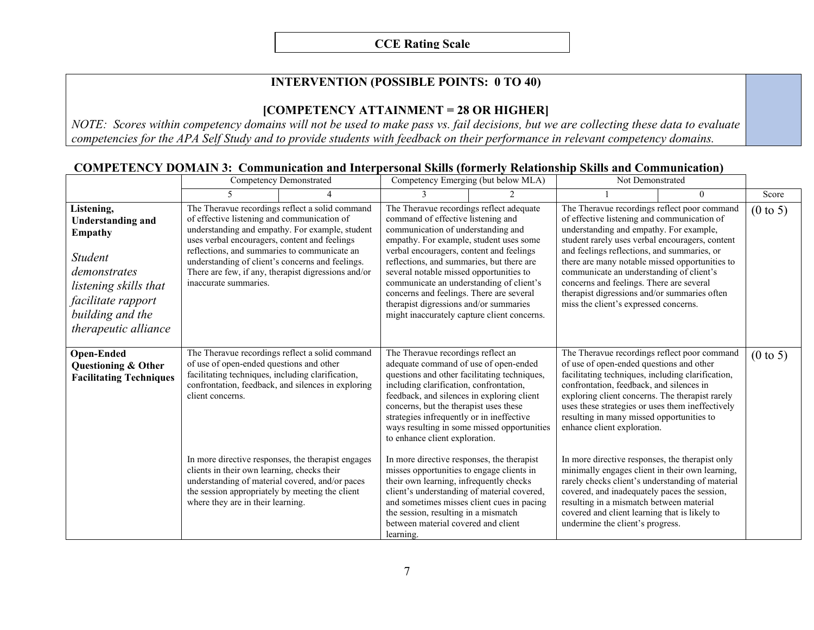### **INTERVENTION (POSSIBLE POINTS: 0 TO 40)**

#### **[COMPETENCY ATTAINMENT = 28 OR HIGHER]**

*NOTE: Scores within competency domains will not be used to make pass vs. fail decisions, but we are collecting these data to evaluate competencies for the APA Self Study and to provide students with feedback on their performance in relevant competency domains.*

|                                                                                                                                                                                |                                                                                                                                                                                                                                              | <b>Competency Demonstrated</b>                                                                                                                            |                                                                                                                                                                                                                                                                                                                                                                                                                                                                                      | Competency Emerging (but below MLA) | Not Demonstrated                                                                                                                                                                                                                                                                                                                                                                                                                                                                                                            |          |                     |
|--------------------------------------------------------------------------------------------------------------------------------------------------------------------------------|----------------------------------------------------------------------------------------------------------------------------------------------------------------------------------------------------------------------------------------------|-----------------------------------------------------------------------------------------------------------------------------------------------------------|--------------------------------------------------------------------------------------------------------------------------------------------------------------------------------------------------------------------------------------------------------------------------------------------------------------------------------------------------------------------------------------------------------------------------------------------------------------------------------------|-------------------------------------|-----------------------------------------------------------------------------------------------------------------------------------------------------------------------------------------------------------------------------------------------------------------------------------------------------------------------------------------------------------------------------------------------------------------------------------------------------------------------------------------------------------------------------|----------|---------------------|
|                                                                                                                                                                                |                                                                                                                                                                                                                                              |                                                                                                                                                           |                                                                                                                                                                                                                                                                                                                                                                                                                                                                                      |                                     |                                                                                                                                                                                                                                                                                                                                                                                                                                                                                                                             | $\Omega$ | Score               |
| Listening,<br><b>Understanding and</b><br>Empathy<br><i>Student</i><br>demonstrates<br>listening skills that<br>facilitate rapport<br>building and the<br>therapeutic alliance | of effective listening and communication of<br>uses verbal encouragers, content and feelings<br>reflections, and summaries to communicate an<br>understanding of client's concerns and feelings.<br>inaccurate summaries.                    | The Theravue recordings reflect a solid command<br>understanding and empathy. For example, student<br>There are few, if any, therapist digressions and/or | The Theravue recordings reflect adequate<br>command of effective listening and<br>communication of understanding and<br>empathy. For example, student uses some<br>verbal encouragers, content and feelings<br>reflections, and summaries, but there are<br>several notable missed opportunities to<br>communicate an understanding of client's<br>concerns and feelings. There are several<br>therapist digressions and/or summaries<br>might inaccurately capture client concerns. |                                     | The Theravue recordings reflect poor command<br>of effective listening and communication of<br>understanding and empathy. For example,<br>student rarely uses verbal encouragers, content<br>and feelings reflections, and summaries, or<br>there are many notable missed opportunities to<br>communicate an understanding of client's<br>concerns and feelings. There are several<br>therapist digressions and/or summaries often<br>miss the client's expressed concerns.<br>The Theravue recordings reflect poor command |          | $(0 \text{ to } 5)$ |
| <b>Open-Ended</b><br>Questioning & Other<br><b>Facilitating Techniques</b>                                                                                                     | The Theravue recordings reflect a solid command<br>of use of open-ended questions and other<br>facilitating techniques, including clarification,<br>confrontation, feedback, and silences in exploring<br>client concerns.                   |                                                                                                                                                           | The Theravue recordings reflect an<br>adequate command of use of open-ended<br>questions and other facilitating techniques,<br>including clarification, confrontation,<br>feedback, and silences in exploring client<br>concerns, but the therapist uses these<br>strategies infrequently or in ineffective<br>ways resulting in some missed opportunities<br>to enhance client exploration.                                                                                         |                                     | of use of open-ended questions and other<br>facilitating techniques, including clarification,<br>confrontation, feedback, and silences in<br>exploring client concerns. The therapist rarely<br>uses these strategies or uses them ineffectively<br>resulting in many missed opportunities to<br>enhance client exploration.                                                                                                                                                                                                |          | $(0 \text{ to } 5)$ |
|                                                                                                                                                                                | In more directive responses, the therapist engages<br>clients in their own learning, checks their<br>understanding of material covered, and/or paces<br>the session appropriately by meeting the client<br>where they are in their learning. |                                                                                                                                                           | In more directive responses, the therapist<br>misses opportunities to engage clients in<br>their own learning, infrequently checks<br>client's understanding of material covered,<br>and sometimes misses client cues in pacing<br>the session, resulting in a mismatch<br>between material covered and client<br>learning.                                                                                                                                                          |                                     | In more directive responses, the therapist only<br>minimally engages client in their own learning,<br>rarely checks client's understanding of material<br>covered, and inadequately paces the session,<br>resulting in a mismatch between material<br>covered and client learning that is likely to<br>undermine the client's progress.                                                                                                                                                                                     |          |                     |

#### **COMPETENCY DOMAIN 3: Communication and Interpersonal Skills (formerly Relationship Skills and Communication)**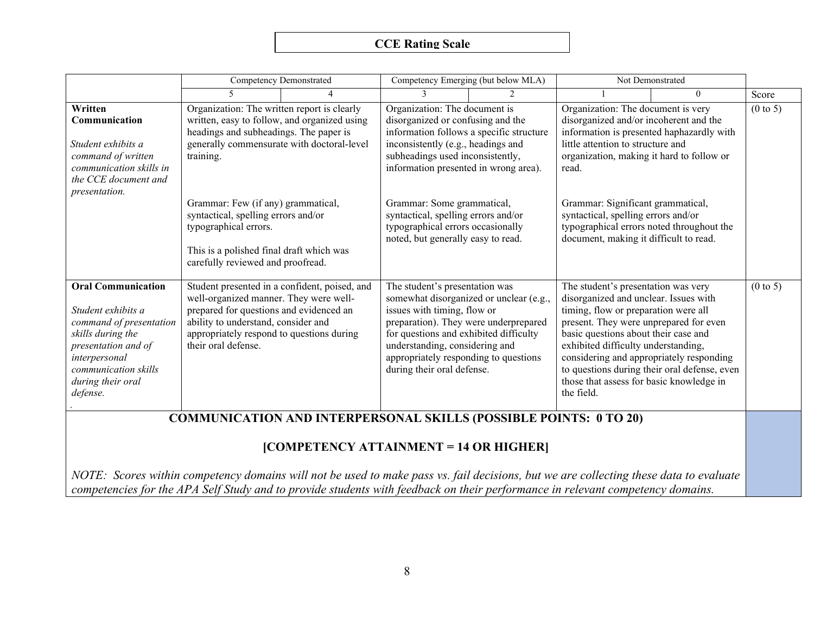|                                                                                                                                                                                                         | <b>Competency Demonstrated</b>                                                                                                                                                                                                                                                                                                                                                          |                                               | Competency Emerging (but below MLA)                                                                                                                                                                                                                                                                                                                                               |                                                                                  | Not Demonstrated                                                                                                                                                                                                                                                                                                                                                                        |                                              |                     |  |
|---------------------------------------------------------------------------------------------------------------------------------------------------------------------------------------------------------|-----------------------------------------------------------------------------------------------------------------------------------------------------------------------------------------------------------------------------------------------------------------------------------------------------------------------------------------------------------------------------------------|-----------------------------------------------|-----------------------------------------------------------------------------------------------------------------------------------------------------------------------------------------------------------------------------------------------------------------------------------------------------------------------------------------------------------------------------------|----------------------------------------------------------------------------------|-----------------------------------------------------------------------------------------------------------------------------------------------------------------------------------------------------------------------------------------------------------------------------------------------------------------------------------------------------------------------------------------|----------------------------------------------|---------------------|--|
|                                                                                                                                                                                                         | $\overline{\mathbf{5}}$                                                                                                                                                                                                                                                                                                                                                                 | 4                                             | 3                                                                                                                                                                                                                                                                                                                                                                                 |                                                                                  |                                                                                                                                                                                                                                                                                                                                                                                         | $\overline{0}$                               | Score               |  |
| Written<br>Communication<br>Student exhibits a<br>command of written<br>communication skills in<br>the CCE document and<br><i>presentation.</i>                                                         | Organization: The written report is clearly<br>written, easy to follow, and organized using<br>headings and subheadings. The paper is<br>generally commensurate with doctoral-level<br>training.<br>Grammar: Few (if any) grammatical,<br>syntactical, spelling errors and/or<br>typographical errors.<br>This is a polished final draft which was<br>carefully reviewed and proofread. |                                               | Organization: The document is<br>disorganized or confusing and the<br>information follows a specific structure<br>inconsistently (e.g., headings and<br>subheadings used inconsistently,<br>information presented in wrong area).<br>Grammar: Some grammatical,<br>syntactical, spelling errors and/or<br>typographical errors occasionally<br>noted, but generally easy to read. |                                                                                  | Organization: The document is very<br>disorganized and/or incoherent and the<br>information is presented haphazardly with<br>little attention to structure and<br>organization, making it hard to follow or<br>read.<br>Grammar: Significant grammatical,<br>syntactical, spelling errors and/or<br>typographical errors noted throughout the<br>document, making it difficult to read. |                                              | $(0 \text{ to } 5)$ |  |
| <b>Oral Communication</b><br>Student exhibits a<br>command of presentation<br>skills during the<br>presentation and of<br>interpersonal<br><i>communication skills</i><br>during their oral<br>defense. | well-organized manner. They were well-<br>prepared for questions and evidenced an<br>ability to understand, consider and<br>appropriately respond to questions during<br>their oral defense.                                                                                                                                                                                            | Student presented in a confident, poised, and | The student's presentation was<br>issues with timing, flow or<br>for questions and exhibited difficulty<br>understanding, considering and<br>appropriately responding to questions<br>during their oral defense.                                                                                                                                                                  | somewhat disorganized or unclear (e.g.,<br>preparation). They were underprepared | The student's presentation was very<br>disorganized and unclear. Issues with<br>timing, flow or preparation were all<br>present. They were unprepared for even<br>basic questions about their case and<br>exhibited difficulty understanding,<br>considering and appropriately responding<br>those that assess for basic knowledge in<br>the field.                                     | to questions during their oral defense, even | $(0 \text{ to } 5)$ |  |
| <b>COMMUNICATION AND INTERPERSONAL SKILLS (POSSIBLE POINTS: 0 TO 20)</b>                                                                                                                                |                                                                                                                                                                                                                                                                                                                                                                                         |                                               |                                                                                                                                                                                                                                                                                                                                                                                   |                                                                                  |                                                                                                                                                                                                                                                                                                                                                                                         |                                              |                     |  |

### **[COMPETENCY ATTAINMENT = 14 OR HIGHER]**

*NOTE: Scores within competency domains will not be used to make pass vs. fail decisions, but we are collecting these data to evaluate competencies for the APA Self Study and to provide students with feedback on their performance in relevant competency domains.*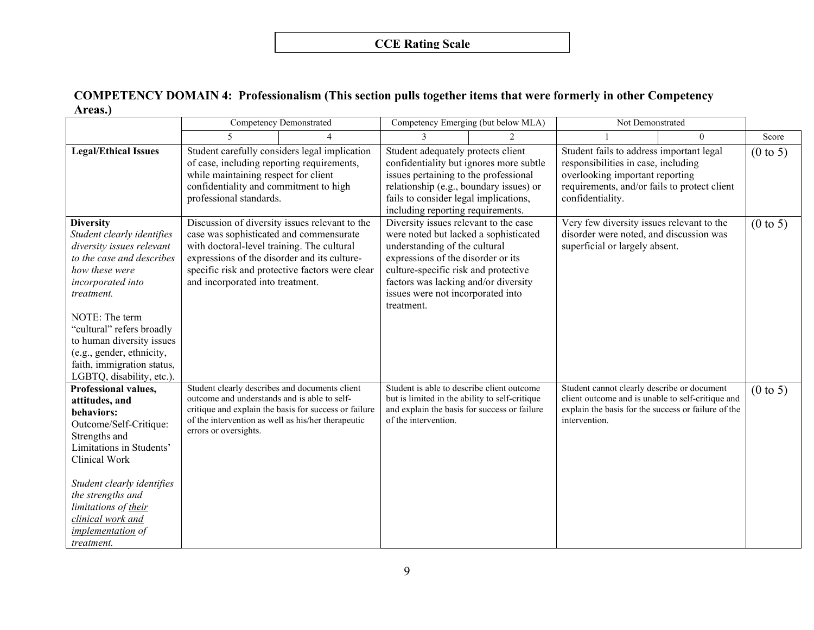#### **COMPETENCY DOMAIN 4: Professionalism (This section pulls together items that were formerly in other Competency Areas.)**

|                                                                                                                                                                                                                                                                                                                                   | <b>Competency Demonstrated</b>                                                                                                                                                                           |                                                                                                   | Competency Emerging (but below MLA)                                                                                                                                                                                                                                                      |               | Not Demonstrated                                                                                                                                                                       |          |                     |
|-----------------------------------------------------------------------------------------------------------------------------------------------------------------------------------------------------------------------------------------------------------------------------------------------------------------------------------|----------------------------------------------------------------------------------------------------------------------------------------------------------------------------------------------------------|---------------------------------------------------------------------------------------------------|------------------------------------------------------------------------------------------------------------------------------------------------------------------------------------------------------------------------------------------------------------------------------------------|---------------|----------------------------------------------------------------------------------------------------------------------------------------------------------------------------------------|----------|---------------------|
|                                                                                                                                                                                                                                                                                                                                   |                                                                                                                                                                                                          |                                                                                                   |                                                                                                                                                                                                                                                                                          | $\mathcal{D}$ |                                                                                                                                                                                        | $\Omega$ | Score               |
| <b>Legal/Ethical Issues</b>                                                                                                                                                                                                                                                                                                       | Student carefully considers legal implication<br>of case, including reporting requirements,<br>while maintaining respect for client<br>confidentiality and commitment to high<br>professional standards. |                                                                                                   | Student adequately protects client<br>confidentiality but ignores more subtle<br>issues pertaining to the professional<br>relationship (e.g., boundary issues) or<br>fails to consider legal implications,<br>including reporting requirements.                                          |               | Student fails to address important legal<br>responsibilities in case, including<br>overlooking important reporting<br>requirements, and/or fails to protect client<br>confidentiality. |          | $(0 \text{ to } 5)$ |
| <b>Diversity</b><br>Student clearly identifies<br>diversity issues relevant<br>to the case and describes<br>how these were<br>incorporated into<br>treatment.<br>NOTE: The term<br>"cultural" refers broadly<br>to human diversity issues<br>(e.g., gender, ethnicity,<br>faith, immigration status,<br>LGBTQ, disability, etc.). | case was sophisticated and commensurate<br>with doctoral-level training. The cultural<br>expressions of the disorder and its culture-<br>and incorporated into treatment.                                | Discussion of diversity issues relevant to the<br>specific risk and protective factors were clear | Diversity issues relevant to the case<br>were noted but lacked a sophisticated<br>understanding of the cultural<br>expressions of the disorder or its<br>culture-specific risk and protective<br>factors was lacking and/or diversity<br>issues were not incorporated into<br>treatment. |               | Very few diversity issues relevant to the<br>disorder were noted, and discussion was<br>superficial or largely absent.                                                                 |          | $(0 \text{ to } 5)$ |
| Professional values,<br>attitudes, and<br>behaviors:<br>Outcome/Self-Critique:<br>Strengths and<br>Limitations in Students'<br>Clinical Work<br>Student clearly identifies<br>the strengths and<br>limitations of their<br>clinical work and<br><i>implementation</i> of<br>treatment.                                            | Student clearly describes and documents client<br>outcome and understands and is able to self-<br>of the intervention as well as his/her therapeutic<br>errors or oversights.                            | critique and explain the basis for success or failure                                             | Student is able to describe client outcome<br>but is limited in the ability to self-critique<br>and explain the basis for success or failure<br>of the intervention.                                                                                                                     |               | Student cannot clearly describe or document<br>client outcome and is unable to self-critique and<br>explain the basis for the success or failure of the<br>intervention.               |          | $(0 \text{ to } 5)$ |